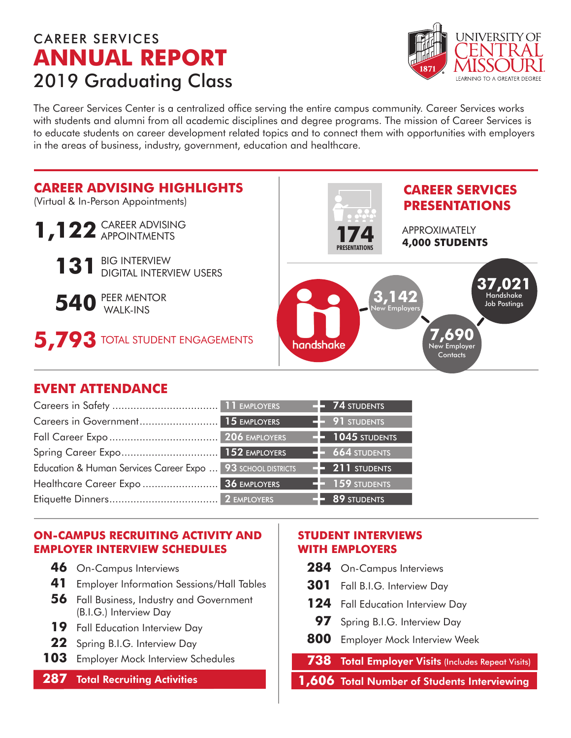## CAREER SERVICES **ANNUAL REPORT** 2019 Graduating Class



The Career Services Center is a centralized office serving the entire campus community. Career Services works with students and alumni from all academic disciplines and degree programs. The mission of Career Services is to educate students on career development related topics and to connect them with opportunities with employers in the areas of business, industry, government, education and healthcare.



## **EVENT ATTENDANCE**

|                                                             |  | <b>74 STUDENTS</b>          |
|-------------------------------------------------------------|--|-----------------------------|
|                                                             |  | $-$ 91 STUDENTS             |
|                                                             |  | $\leftarrow$ 1045 STUDENTS  |
|                                                             |  | $-664$ STUDENTS             |
| Education & Human Services Career Expo  93 SCHOOL DISTRICTS |  | $\rightarrow$ 211 STUDENTS  |
|                                                             |  | $\blacksquare$ 159 students |
|                                                             |  | $-$ 89 STUDENTS             |

### **ON-CAMPUS RECRUITING ACTIVITY AND EMPLOYER INTERVIEW SCHEDULES**

- **46** On-Campus Interviews
- **41** Employer Information Sessions/Hall Tables
- **56** Fall Business, Industry and Government (B.I.G.) Interview Day
- 19 Fall Education Interview Day
- **22** Spring B.I.G. Interview Day
- **103** Employer Mock Interview Schedules

### **287** Total Recruiting Activities

#### **STUDENT INTERVIEWS WITH EMPLOYERS**

- 284 On-Campus Interviews
- **301** Fall B.I.G. Interview Day
- 124 Fall Education Interview Day
- **97** Spring B.I.G. Interview Day
- **800** Employer Mock Interview Week

### **738** Total Employer Visits (Includes Repeat Visits)

**1,606** Total Number of Students Interviewing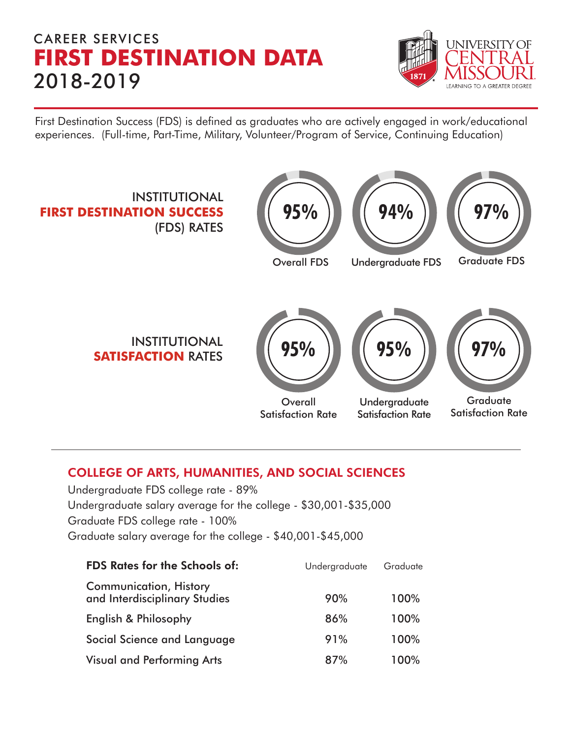# CAREER SERVICES **FIRST DESTINATION DATA** 2018-2019



First Destination Success (FDS) is defined as graduates who are actively engaged in work/educational experiences. (Full-time, Part-Time, Military, Volunteer/Program of Service, Continuing Education)



## COLLEGE OF ARTS, HUMANITIES, AND SOCIAL SCIENCES

Undergraduate FDS college rate - 89% Undergraduate salary average for the college - \$30,001-\$35,000 Graduate FDS college rate - 100% Graduate salary average for the college - \$40,001-\$45,000

| <b>FDS Rates for the Schools of:</b>                           | Undergraduate | Graduate |
|----------------------------------------------------------------|---------------|----------|
| <b>Communication, History</b><br>and Interdisciplinary Studies | 90%           | 100%     |
| English & Philosophy                                           | 86%           | 100%     |
| Social Science and Language                                    | 91%           | 100%     |
| <b>Visual and Performing Arts</b>                              | 87%           | 100%     |